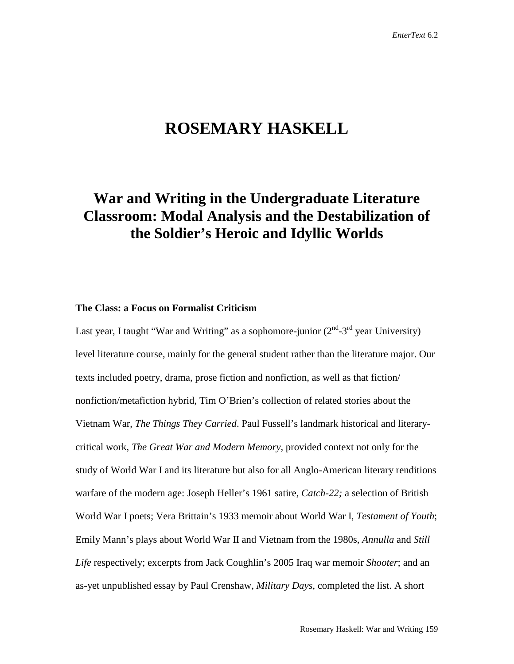# **ROSEMARY HASKELL**

## **War and Writing in the Undergraduate Literature Classroom: Modal Analysis and the Destabilization of the Soldier's Heroic and Idyllic Worlds**

### **The Class: a Focus on Formalist Criticism**

Last year, I taught "War and Writing" as a sophomore-junior  $(2<sup>nd</sup>-3<sup>rd</sup>$  year University) level literature course, mainly for the general student rather than the literature major. Our texts included poetry, drama, prose fiction and nonfiction, as well as that fiction/ nonfiction/metafiction hybrid, Tim O'Brien's collection of related stories about the Vietnam War, *The Things They Carried*. Paul Fussell's landmark historical and literarycritical work, *The Great War and Modern Memory,* provided context not only for the study of World War I and its literature but also for all Anglo-American literary renditions warfare of the modern age: Joseph Heller's 1961 satire, *Catch-22;* a selection of British World War I poets; Vera Brittain's 1933 memoir about World War I, *Testament of Youth*; Emily Mann's plays about World War II and Vietnam from the 1980s, *Annulla* and *Still Life* respectively; excerpts from Jack Coughlin's 2005 Iraq war memoir *Shooter*; and an as-yet unpublished essay by Paul Crenshaw, *Military Days,* completed the list. A short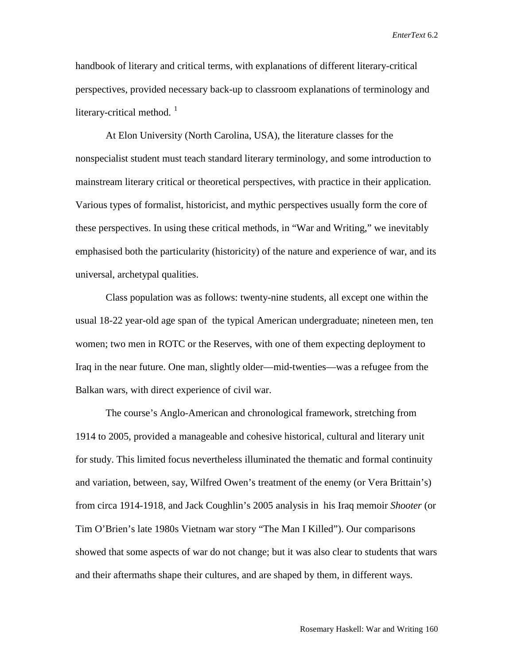handbook of literary and critical terms, with explanations of different literary-critical perspectives, provided necessary back-up to classroom explanations of terminology and literary-critical method.  $\frac{1}{1}$  $\frac{1}{1}$  $\frac{1}{1}$ 

At Elon University (North Carolina, USA), the literature classes for the nonspecialist student must teach standard literary terminology, and some introduction to mainstream literary critical or theoretical perspectives, with practice in their application. Various types of formalist, historicist, and mythic perspectives usually form the core of these perspectives. In using these critical methods, in "War and Writing," we inevitably emphasised both the particularity (historicity) of the nature and experience of war, and its universal, archetypal qualities.

Class population was as follows: twenty-nine students, all except one within the usual 18-22 year-old age span of the typical American undergraduate; nineteen men, ten women; two men in ROTC or the Reserves, with one of them expecting deployment to Iraq in the near future. One man, slightly older—mid-twenties—was a refugee from the Balkan wars, with direct experience of civil war.

The course's Anglo-American and chronological framework, stretching from 1914 to 2005, provided a manageable and cohesive historical, cultural and literary unit for study. This limited focus nevertheless illuminated the thematic and formal continuity and variation, between, say, Wilfred Owen's treatment of the enemy (or Vera Brittain's) from circa 1914-1918, and Jack Coughlin's 2005 analysis in his Iraq memoir *Shooter* (or Tim O'Brien's late 1980s Vietnam war story "The Man I Killed"). Our comparisons showed that some aspects of war do not change; but it was also clear to students that wars and their aftermaths shape their cultures, and are shaped by them, in different ways.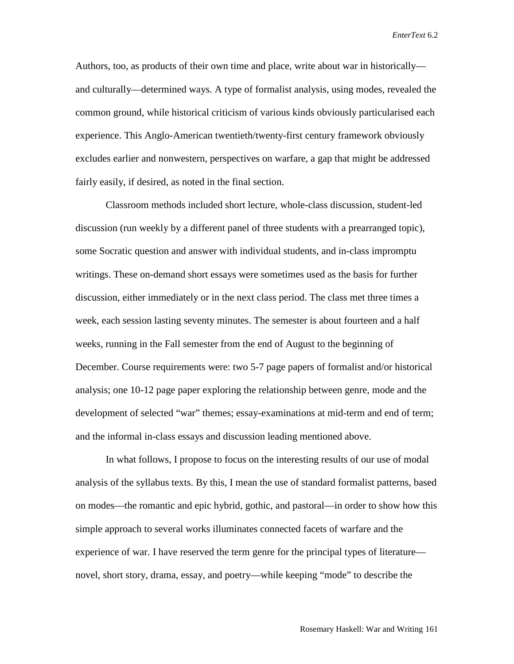Authors, too, as products of their own time and place, write about war in historically and culturally—determined ways. A type of formalist analysis, using modes, revealed the common ground, while historical criticism of various kinds obviously particularised each experience. This Anglo-American twentieth/twenty-first century framework obviously excludes earlier and nonwestern, perspectives on warfare, a gap that might be addressed fairly easily, if desired, as noted in the final section.

Classroom methods included short lecture, whole-class discussion, student-led discussion (run weekly by a different panel of three students with a prearranged topic), some Socratic question and answer with individual students, and in-class impromptu writings. These on-demand short essays were sometimes used as the basis for further discussion, either immediately or in the next class period. The class met three times a week, each session lasting seventy minutes. The semester is about fourteen and a half weeks, running in the Fall semester from the end of August to the beginning of December. Course requirements were: two 5-7 page papers of formalist and/or historical analysis; one 10-12 page paper exploring the relationship between genre, mode and the development of selected "war" themes; essay-examinations at mid-term and end of term; and the informal in-class essays and discussion leading mentioned above.

In what follows, I propose to focus on the interesting results of our use of modal analysis of the syllabus texts. By this, I mean the use of standard formalist patterns, based on modes—the romantic and epic hybrid, gothic, and pastoral—in order to show how this simple approach to several works illuminates connected facets of warfare and the experience of war. I have reserved the term genre for the principal types of literature novel, short story, drama, essay, and poetry—while keeping "mode" to describe the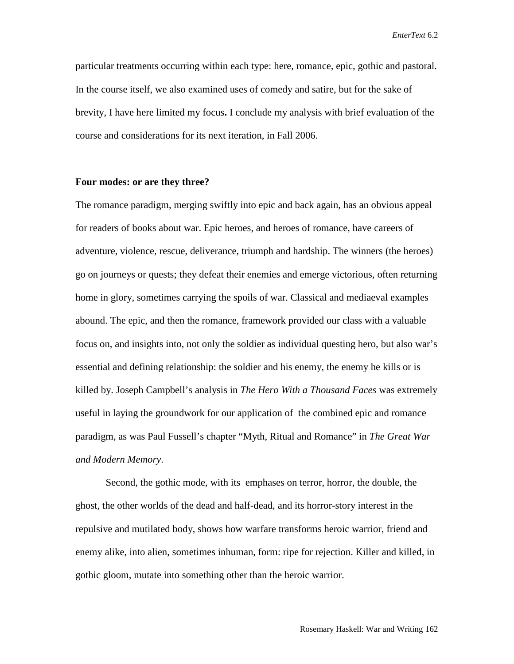particular treatments occurring within each type: here, romance, epic, gothic and pastoral. In the course itself, we also examined uses of comedy and satire, but for the sake of brevity, I have here limited my focus**.** I conclude my analysis with brief evaluation of the course and considerations for its next iteration, in Fall 2006.

#### **Four modes: or are they three?**

The romance paradigm, merging swiftly into epic and back again, has an obvious appeal for readers of books about war. Epic heroes, and heroes of romance, have careers of adventure, violence, rescue, deliverance, triumph and hardship. The winners (the heroes) go on journeys or quests; they defeat their enemies and emerge victorious, often returning home in glory, sometimes carrying the spoils of war. Classical and mediaeval examples abound. The epic, and then the romance, framework provided our class with a valuable focus on, and insights into, not only the soldier as individual questing hero, but also war's essential and defining relationship: the soldier and his enemy, the enemy he kills or is killed by. Joseph Campbell's analysis in *The Hero With a Thousand Faces* was extremely useful in laying the groundwork for our application of the combined epic and romance paradigm, as was Paul Fussell's chapter "Myth, Ritual and Romance" in *The Great War and Modern Memory*.

Second, the gothic mode, with its emphases on terror, horror, the double, the ghost, the other worlds of the dead and half-dead, and its horror-story interest in the repulsive and mutilated body, shows how warfare transforms heroic warrior, friend and enemy alike, into alien, sometimes inhuman, form: ripe for rejection. Killer and killed, in gothic gloom, mutate into something other than the heroic warrior.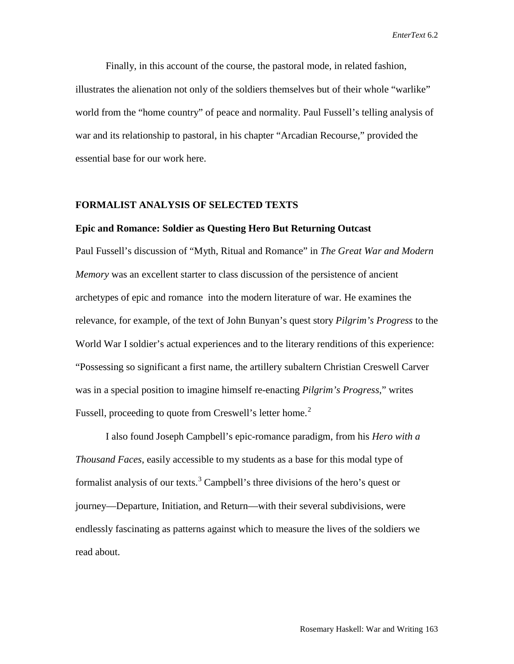Finally, in this account of the course, the pastoral mode, in related fashion, illustrates the alienation not only of the soldiers themselves but of their whole "warlike" world from the "home country" of peace and normality. Paul Fussell's telling analysis of war and its relationship to pastoral, in his chapter "Arcadian Recourse," provided the essential base for our work here.

## **FORMALIST ANALYSIS OF SELECTED TEXTS**

#### **Epic and Romance: Soldier as Questing Hero But Returning Outcast**

Paul Fussell's discussion of "Myth, Ritual and Romance" in *The Great War and Modern Memory* was an excellent starter to class discussion of the persistence of ancient archetypes of epic and romance into the modern literature of war. He examines the relevance, for example, of the text of John Bunyan's quest story *Pilgrim's Progress* to the World War I soldier's actual experiences and to the literary renditions of this experience: "Possessing so significant a first name, the artillery subaltern Christian Creswell Carver was in a special position to imagine himself re-enacting *Pilgrim's Progress*," writes Fussell, proceeding to quote from Creswell's letter home.<sup>[2](#page-22-1)</sup>

I also found Joseph Campbell's epic-romance paradigm, from his *Hero with a Thousand Faces*, easily accessible to my students as a base for this modal type of formalist analysis of our texts.<sup>[3](#page-22-2)</sup> Campbell's three divisions of the hero's quest or journey—Departure, Initiation, and Return—with their several subdivisions, were endlessly fascinating as patterns against which to measure the lives of the soldiers we read about.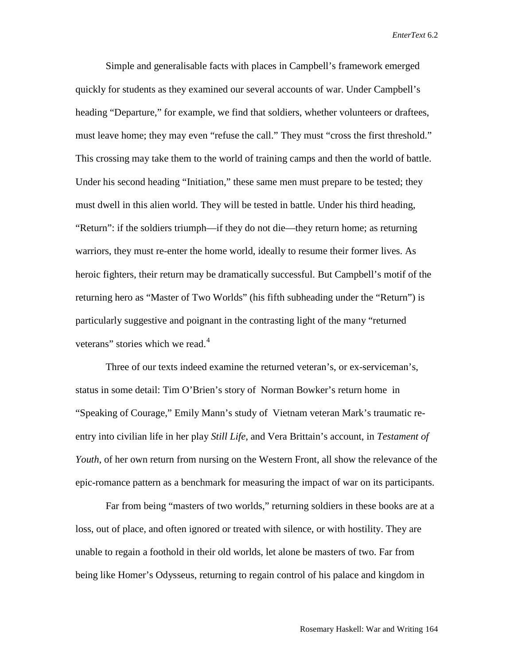Simple and generalisable facts with places in Campbell's framework emerged quickly for students as they examined our several accounts of war. Under Campbell's heading "Departure," for example, we find that soldiers, whether volunteers or draftees, must leave home; they may even "refuse the call." They must "cross the first threshold." This crossing may take them to the world of training camps and then the world of battle. Under his second heading "Initiation," these same men must prepare to be tested; they must dwell in this alien world. They will be tested in battle. Under his third heading, "Return": if the soldiers triumph—if they do not die—they return home; as returning warriors, they must re-enter the home world, ideally to resume their former lives. As heroic fighters, their return may be dramatically successful. But Campbell's motif of the returning hero as "Master of Two Worlds" (his fifth subheading under the "Return") is particularly suggestive and poignant in the contrasting light of the many "returned veterans" stories which we read.<sup>[4](#page-22-3)</sup>

Three of our texts indeed examine the returned veteran's, or ex-serviceman's, status in some detail: Tim O'Brien's story of Norman Bowker's return home in "Speaking of Courage," Emily Mann's study of Vietnam veteran Mark's traumatic reentry into civilian life in her play *Still Life*, and Vera Brittain's account, in *Testament of Youth*, of her own return from nursing on the Western Front, all show the relevance of the epic-romance pattern as a benchmark for measuring the impact of war on its participants.

Far from being "masters of two worlds," returning soldiers in these books are at a loss, out of place, and often ignored or treated with silence, or with hostility. They are unable to regain a foothold in their old worlds, let alone be masters of two. Far from being like Homer's Odysseus, returning to regain control of his palace and kingdom in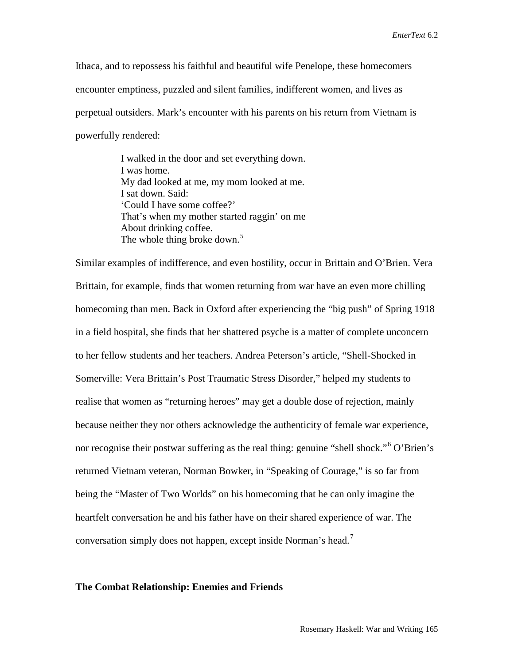Ithaca, and to repossess his faithful and beautiful wife Penelope, these homecomers encounter emptiness, puzzled and silent families, indifferent women, and lives as perpetual outsiders. Mark's encounter with his parents on his return from Vietnam is powerfully rendered:

> I walked in the door and set everything down. I was home. My dad looked at me, my mom looked at me. I sat down. Said: 'Could I have some coffee?' That's when my mother started raggin' on me About drinking coffee. The whole thing broke down.<sup>[5](#page-22-4)</sup>

Similar examples of indifference, and even hostility, occur in Brittain and O'Brien. Vera Brittain, for example, finds that women returning from war have an even more chilling homecoming than men. Back in Oxford after experiencing the "big push" of Spring 1918 in a field hospital, she finds that her shattered psyche is a matter of complete unconcern to her fellow students and her teachers. Andrea Peterson's article, "Shell-Shocked in Somerville: Vera Brittain's Post Traumatic Stress Disorder," helped my students to realise that women as "returning heroes" may get a double dose of rejection, mainly because neither they nor others acknowledge the authenticity of female war experience, nor recognise their postwar suffering as the real thing: genuine "shell shock."[6](#page-22-5) O'Brien's returned Vietnam veteran, Norman Bowker, in "Speaking of Courage," is so far from being the "Master of Two Worlds" on his homecoming that he can only imagine the heartfelt conversation he and his father have on their shared experience of war. The conversation simply does not happen, except inside Norman's head.<sup>[7](#page-22-6)</sup>

#### **The Combat Relationship: Enemies and Friends**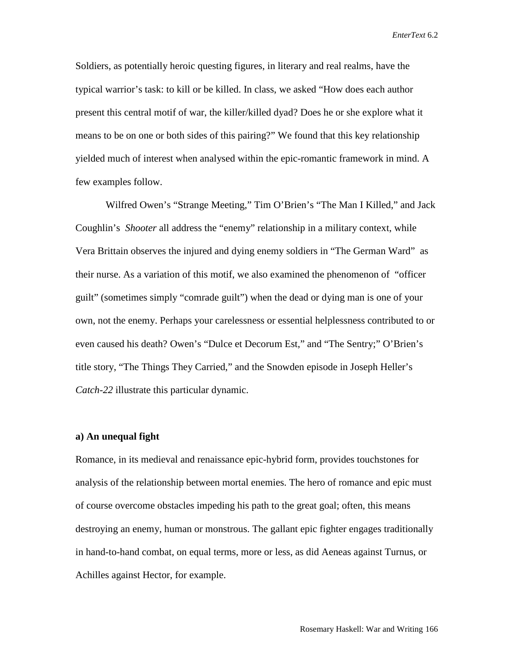Soldiers, as potentially heroic questing figures, in literary and real realms, have the typical warrior's task: to kill or be killed. In class, we asked "How does each author present this central motif of war, the killer/killed dyad? Does he or she explore what it means to be on one or both sides of this pairing?" We found that this key relationship yielded much of interest when analysed within the epic-romantic framework in mind. A few examples follow.

Wilfred Owen's "Strange Meeting," Tim O'Brien's "The Man I Killed," and Jack Coughlin's *Shooter* all address the "enemy" relationship in a military context, while Vera Brittain observes the injured and dying enemy soldiers in "The German Ward" as their nurse. As a variation of this motif, we also examined the phenomenon of "officer guilt" (sometimes simply "comrade guilt") when the dead or dying man is one of your own, not the enemy. Perhaps your carelessness or essential helplessness contributed to or even caused his death? Owen's "Dulce et Decorum Est," and "The Sentry;" O'Brien's title story, "The Things They Carried," and the Snowden episode in Joseph Heller's *Catch-22* illustrate this particular dynamic.

## **a) An unequal fight**

Romance, in its medieval and renaissance epic-hybrid form, provides touchstones for analysis of the relationship between mortal enemies. The hero of romance and epic must of course overcome obstacles impeding his path to the great goal; often, this means destroying an enemy, human or monstrous. The gallant epic fighter engages traditionally in hand-to-hand combat, on equal terms, more or less, as did Aeneas against Turnus, or Achilles against Hector, for example.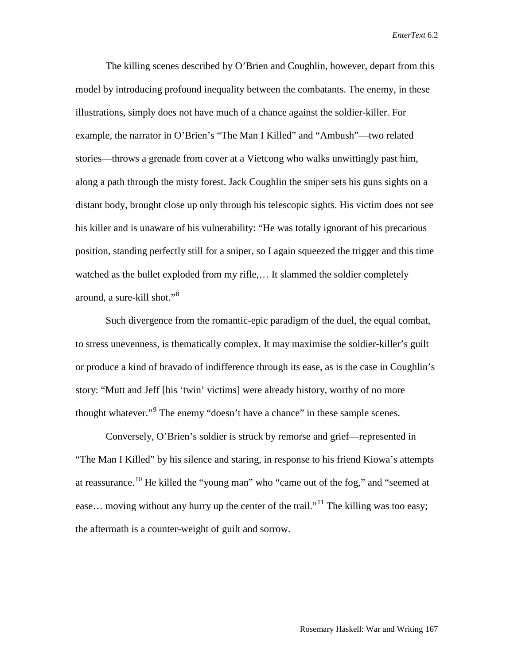The killing scenes described by O'Brien and Coughlin, however, depart from this model by introducing profound inequality between the combatants. The enemy, in these illustrations, simply does not have much of a chance against the soldier-killer. For example, the narrator in O'Brien's "The Man I Killed" and "Ambush"—two related stories—throws a grenade from cover at a Vietcong who walks unwittingly past him, along a path through the misty forest. Jack Coughlin the sniper sets his guns sights on a distant body, brought close up only through his telescopic sights. His victim does not see his killer and is unaware of his vulnerability: "He was totally ignorant of his precarious position, standing perfectly still for a sniper, so I again squeezed the trigger and this time watched as the bullet exploded from my rifle,... It slammed the soldier completely around, a sure-kill shot."[8](#page-22-7)

Such divergence from the romantic-epic paradigm of the duel, the equal combat, to stress unevenness, is thematically complex. It may maximise the soldier-killer's guilt or produce a kind of bravado of indifference through its ease, as is the case in Coughlin's story: "Mutt and Jeff [his 'twin' victims] were already history, worthy of no more thought whatever."<sup>[9](#page-22-8)</sup> The enemy "doesn't have a chance" in these sample scenes.

Conversely, O'Brien's soldier is struck by remorse and grief—represented in "The Man I Killed" by his silence and staring, in response to his friend Kiowa's attempts at reassurance.[10](#page-22-9) He killed the "young man" who "came out of the fog," and "seemed at ease... moving without any hurry up the center of the trail."<sup>[11](#page-22-10)</sup> The killing was too easy; the aftermath is a counter-weight of guilt and sorrow.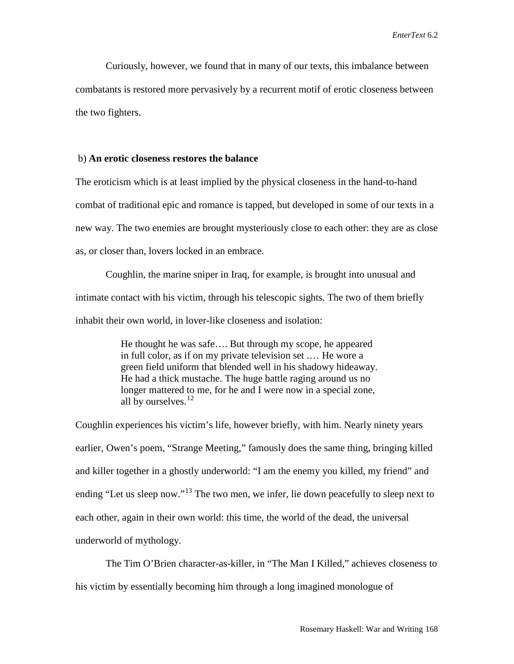Curiously, however, we found that in many of our texts, this imbalance between combatants is restored more pervasively by a recurrent motif of erotic closeness between the two fighters.

## b) **An erotic closeness restores the balance**

The eroticism which is at least implied by the physical closeness in the hand-to-hand combat of traditional epic and romance is tapped, but developed in some of our texts in a new way. The two enemies are brought mysteriously close to each other: they are as close as, or closer than, lovers locked in an embrace.

Coughlin, the marine sniper in Iraq, for example, is brought into unusual and intimate contact with his victim, through his telescopic sights. The two of them briefly inhabit their own world, in lover-like closeness and isolation:

> He thought he was safe…. But through my scope, he appeared in full color, as if on my private television set .… He wore a green field uniform that blended well in his shadowy hideaway. He had a thick mustache. The huge battle raging around us no longer mattered to me, for he and I were now in a special zone, all by ourselves.<sup>[12](#page-22-11)</sup>

Coughlin experiences his victim's life, however briefly, with him. Nearly ninety years earlier, Owen's poem, "Strange Meeting," famously does the same thing, bringing killed and killer together in a ghostly underworld: "I am the enemy you killed, my friend" and ending "Let us sleep now."<sup>[13](#page-22-12)</sup> The two men, we infer, lie down peacefully to sleep next to each other, again in their own world: this time, the world of the dead, the universal underworld of mythology.

The Tim O'Brien character-as-killer, in "The Man I Killed," achieves closeness to his victim by essentially becoming him through a long imagined monologue of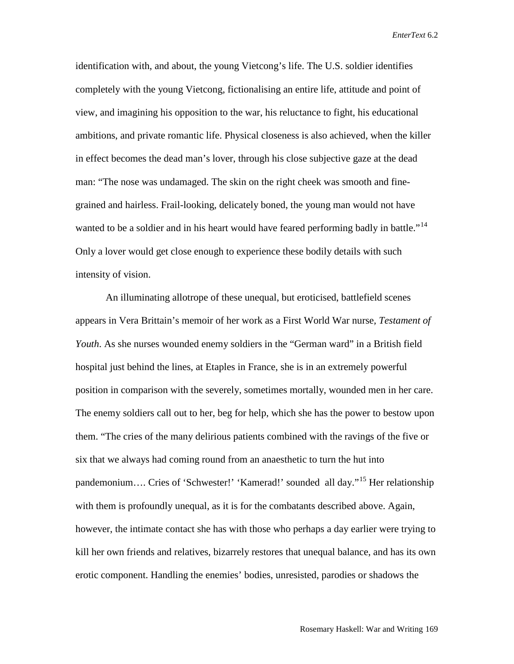identification with, and about, the young Vietcong's life. The U.S. soldier identifies completely with the young Vietcong, fictionalising an entire life, attitude and point of view, and imagining his opposition to the war, his reluctance to fight, his educational ambitions, and private romantic life. Physical closeness is also achieved, when the killer in effect becomes the dead man's lover, through his close subjective gaze at the dead man: "The nose was undamaged. The skin on the right cheek was smooth and finegrained and hairless. Frail-looking, delicately boned, the young man would not have wanted to be a soldier and in his heart would have feared performing badly in battle."<sup>[14](#page-22-13)</sup> Only a lover would get close enough to experience these bodily details with such intensity of vision.

An illuminating allotrope of these unequal, but eroticised, battlefield scenes appears in Vera Brittain's memoir of her work as a First World War nurse*, Testament of Youth*. As she nurses wounded enemy soldiers in the "German ward" in a British field hospital just behind the lines, at Etaples in France, she is in an extremely powerful position in comparison with the severely, sometimes mortally, wounded men in her care. The enemy soldiers call out to her, beg for help, which she has the power to bestow upon them. "The cries of the many delirious patients combined with the ravings of the five or six that we always had coming round from an anaesthetic to turn the hut into pandemonium…. Cries of 'Schwester!' 'Kamerad!' sounded all day."[15](#page-22-14) Her relationship with them is profoundly unequal, as it is for the combatants described above. Again, however, the intimate contact she has with those who perhaps a day earlier were trying to kill her own friends and relatives, bizarrely restores that unequal balance, and has its own erotic component. Handling the enemies' bodies, unresisted, parodies or shadows the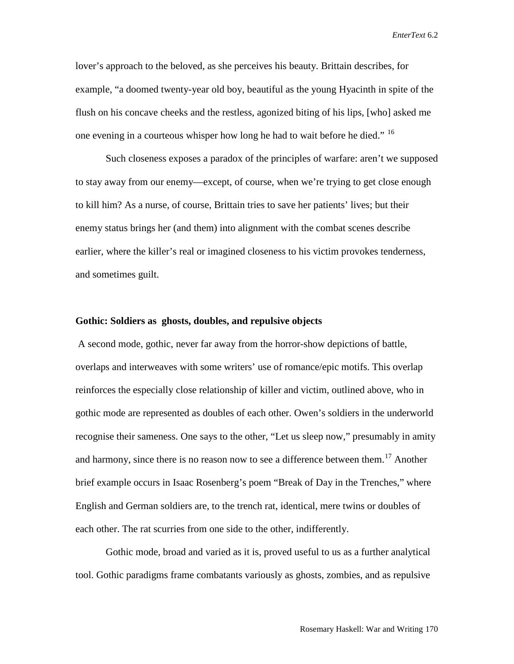lover's approach to the beloved, as she perceives his beauty. Brittain describes, for example, "a doomed twenty-year old boy, beautiful as the young Hyacinth in spite of the flush on his concave cheeks and the restless, agonized biting of his lips, [who] asked me one evening in a courteous whisper how long he had to wait before he died." <sup>[16](#page-22-15)</sup>

Such closeness exposes a paradox of the principles of warfare: aren't we supposed to stay away from our enemy—except, of course, when we're trying to get close enough to kill him? As a nurse, of course, Brittain tries to save her patients' lives; but their enemy status brings her (and them) into alignment with the combat scenes describe earlier, where the killer's real or imagined closeness to his victim provokes tenderness, and sometimes guilt.

### **Gothic: Soldiers as ghosts, doubles, and repulsive objects**

A second mode, gothic, never far away from the horror-show depictions of battle, overlaps and interweaves with some writers' use of romance/epic motifs. This overlap reinforces the especially close relationship of killer and victim, outlined above, who in gothic mode are represented as doubles of each other. Owen's soldiers in the underworld recognise their sameness. One says to the other, "Let us sleep now," presumably in amity and harmony, since there is no reason now to see a difference between them.<sup>[17](#page-22-16)</sup> Another brief example occurs in Isaac Rosenberg's poem "Break of Day in the Trenches," where English and German soldiers are, to the trench rat, identical, mere twins or doubles of each other. The rat scurries from one side to the other, indifferently.

Gothic mode, broad and varied as it is, proved useful to us as a further analytical tool. Gothic paradigms frame combatants variously as ghosts, zombies, and as repulsive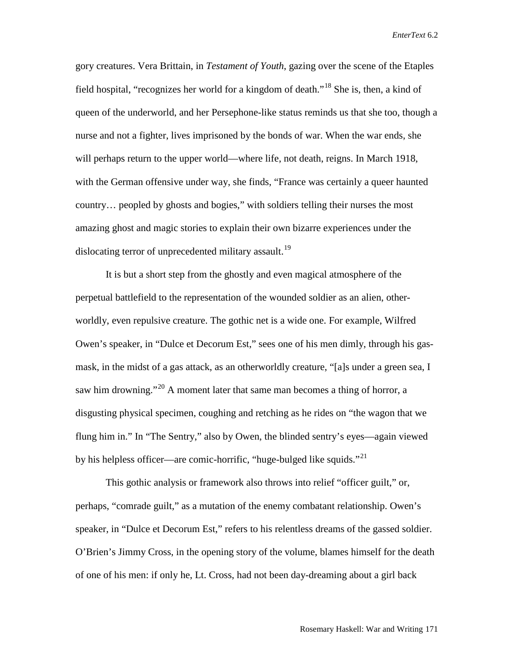gory creatures. Vera Brittain, in *Testament of Youth*, gazing over the scene of the Etaples field hospital, "recognizes her world for a kingdom of death."<sup>[18](#page-22-17)</sup> She is, then, a kind of queen of the underworld, and her Persephone-like status reminds us that she too, though a nurse and not a fighter, lives imprisoned by the bonds of war. When the war ends, she will perhaps return to the upper world—where life, not death, reigns. In March 1918, with the German offensive under way, she finds, "France was certainly a queer haunted country… peopled by ghosts and bogies," with soldiers telling their nurses the most amazing ghost and magic stories to explain their own bizarre experiences under the dislocating terror of unprecedented military assault.<sup>[19](#page-22-18)</sup>

It is but a short step from the ghostly and even magical atmosphere of the perpetual battlefield to the representation of the wounded soldier as an alien, otherworldly, even repulsive creature. The gothic net is a wide one. For example, Wilfred Owen's speaker, in "Dulce et Decorum Est," sees one of his men dimly, through his gasmask, in the midst of a gas attack, as an otherworldly creature, "[a]s under a green sea, I saw him drowning."<sup>[20](#page-22-19)</sup> A moment later that same man becomes a thing of horror, a disgusting physical specimen, coughing and retching as he rides on "the wagon that we flung him in." In "The Sentry," also by Owen, the blinded sentry's eyes—again viewed by his helpless officer—are comic-horrific, "huge-bulged like squids."<sup>[21](#page-22-20)</sup>

This gothic analysis or framework also throws into relief "officer guilt," or, perhaps, "comrade guilt," as a mutation of the enemy combatant relationship. Owen's speaker, in "Dulce et Decorum Est," refers to his relentless dreams of the gassed soldier. O'Brien's Jimmy Cross, in the opening story of the volume, blames himself for the death of one of his men: if only he, Lt. Cross, had not been day-dreaming about a girl back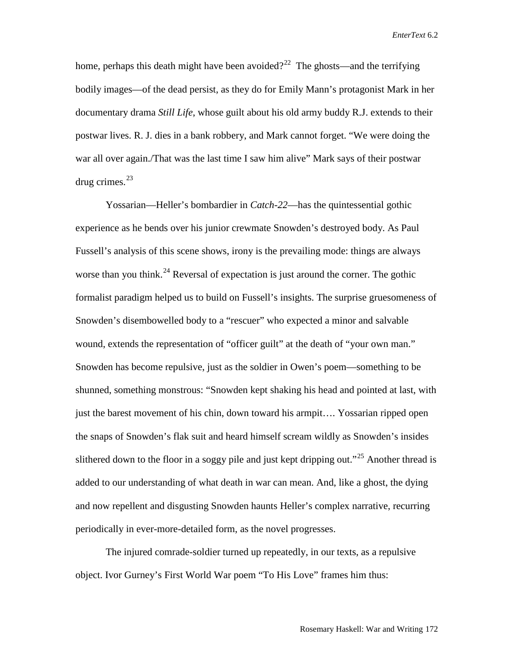home, perhaps this death might have been avoided?<sup>22</sup> The ghosts—and the terrifying bodily images—of the dead persist, as they do for Emily Mann's protagonist Mark in her documentary drama *Still Life*, whose guilt about his old army buddy R.J. extends to their postwar lives. R. J. dies in a bank robbery, and Mark cannot forget. "We were doing the war all over again./That was the last time I saw him alive" Mark says of their postwar drug crimes. $^{23}$  $^{23}$  $^{23}$ 

Yossarian—Heller's bombardier in *Catch-22*—has the quintessential gothic experience as he bends over his junior crewmate Snowden's destroyed body. As Paul Fussell's analysis of this scene shows, irony is the prevailing mode: things are always worse than you think.<sup>[24](#page-22-23)</sup> Reversal of expectation is just around the corner. The gothic formalist paradigm helped us to build on Fussell's insights. The surprise gruesomeness of Snowden's disembowelled body to a "rescuer" who expected a minor and salvable wound, extends the representation of "officer guilt" at the death of "your own man." Snowden has become repulsive, just as the soldier in Owen's poem—something to be shunned, something monstrous: "Snowden kept shaking his head and pointed at last, with just the barest movement of his chin, down toward his armpit.... Yossarian ripped open the snaps of Snowden's flak suit and heard himself scream wildly as Snowden's insides slithered down to the floor in a soggy pile and just kept dripping out."<sup>[25](#page-22-24)</sup> Another thread is added to our understanding of what death in war can mean. And, like a ghost, the dying and now repellent and disgusting Snowden haunts Heller's complex narrative, recurring periodically in ever-more-detailed form, as the novel progresses.

The injured comrade-soldier turned up repeatedly, in our texts, as a repulsive object. Ivor Gurney's First World War poem "To His Love" frames him thus: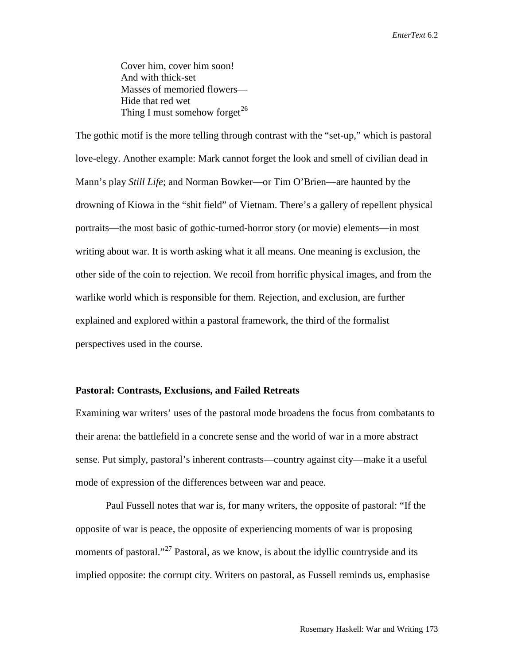Cover him, cover him soon! And with thick-set Masses of memoried flowers— Hide that red wet Thing I must somehow forget<sup>[26](#page-22-25)</sup>

The gothic motif is the more telling through contrast with the "set-up," which is pastoral love-elegy. Another example: Mark cannot forget the look and smell of civilian dead in Mann's play *Still Life*; and Norman Bowker—or Tim O'Brien—are haunted by the drowning of Kiowa in the "shit field" of Vietnam. There's a gallery of repellent physical portraits—the most basic of gothic-turned-horror story (or movie) elements—in most writing about war. It is worth asking what it all means. One meaning is exclusion, the other side of the coin to rejection. We recoil from horrific physical images, and from the warlike world which is responsible for them. Rejection, and exclusion, are further explained and explored within a pastoral framework, the third of the formalist perspectives used in the course.

#### **Pastoral: Contrasts, Exclusions, and Failed Retreats**

Examining war writers' uses of the pastoral mode broadens the focus from combatants to their arena: the battlefield in a concrete sense and the world of war in a more abstract sense. Put simply, pastoral's inherent contrasts—country against city—make it a useful mode of expression of the differences between war and peace.

Paul Fussell notes that war is, for many writers, the opposite of pastoral: "If the opposite of war is peace, the opposite of experiencing moments of war is proposing moments of pastoral."<sup>[27](#page-22-26)</sup> Pastoral, as we know, is about the idyllic countryside and its implied opposite: the corrupt city. Writers on pastoral, as Fussell reminds us, emphasise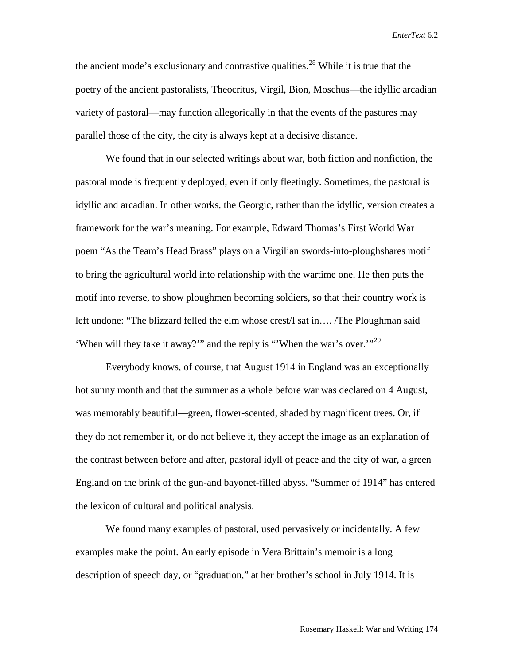the ancient mode's exclusionary and contrastive qualities.<sup>[28](#page-22-27)</sup> While it is true that the poetry of the ancient pastoralists, Theocritus, Virgil, Bion, Moschus—the idyllic arcadian variety of pastoral—may function allegorically in that the events of the pastures may parallel those of the city, the city is always kept at a decisive distance.

We found that in our selected writings about war, both fiction and nonfiction, the pastoral mode is frequently deployed, even if only fleetingly. Sometimes, the pastoral is idyllic and arcadian. In other works, the Georgic, rather than the idyllic, version creates a framework for the war's meaning. For example, Edward Thomas's First World War poem "As the Team's Head Brass" plays on a Virgilian swords-into-ploughshares motif to bring the agricultural world into relationship with the wartime one. He then puts the motif into reverse, to show ploughmen becoming soldiers, so that their country work is left undone: "The blizzard felled the elm whose crest/I sat in…. /The Ploughman said 'When will they take it away?'" and the reply is "'When the war's over.'"<sup>[29](#page-22-28)</sup>

Everybody knows, of course, that August 1914 in England was an exceptionally hot sunny month and that the summer as a whole before war was declared on 4 August, was memorably beautiful—green, flower-scented, shaded by magnificent trees. Or, if they do not remember it, or do not believe it, they accept the image as an explanation of the contrast between before and after, pastoral idyll of peace and the city of war, a green England on the brink of the gun-and bayonet-filled abyss. "Summer of 1914" has entered the lexicon of cultural and political analysis.

We found many examples of pastoral, used pervasively or incidentally. A few examples make the point. An early episode in Vera Brittain's memoir is a long description of speech day, or "graduation," at her brother's school in July 1914. It is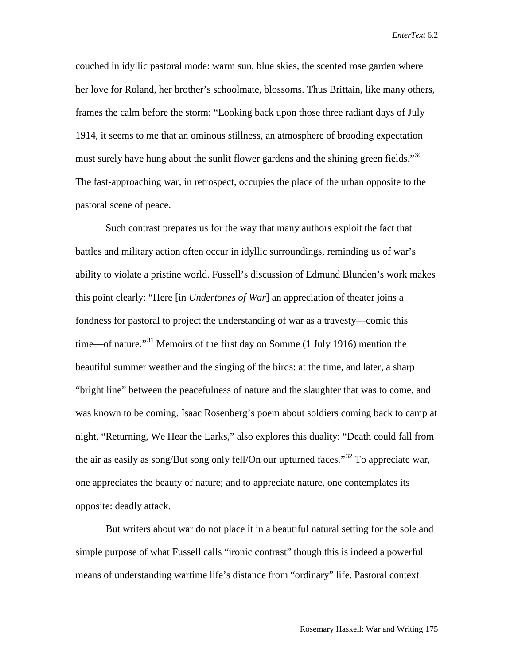couched in idyllic pastoral mode: warm sun, blue skies, the scented rose garden where her love for Roland, her brother's schoolmate, blossoms. Thus Brittain, like many others, frames the calm before the storm: "Looking back upon those three radiant days of July 1914, it seems to me that an ominous stillness, an atmosphere of brooding expectation must surely have hung about the sunlit flower gardens and the shining green fields."<sup>[30](#page-22-29)</sup> The fast-approaching war, in retrospect, occupies the place of the urban opposite to the pastoral scene of peace.

Such contrast prepares us for the way that many authors exploit the fact that battles and military action often occur in idyllic surroundings, reminding us of war's ability to violate a pristine world. Fussell's discussion of Edmund Blunden's work makes this point clearly: "Here [in *Undertones of War*] an appreciation of theater joins a fondness for pastoral to project the understanding of war as a travesty—comic this time—of nature."<sup>[31](#page-22-30)</sup> Memoirs of the first day on Somme (1 July 1916) mention the beautiful summer weather and the singing of the birds: at the time, and later, a sharp "bright line" between the peacefulness of nature and the slaughter that was to come, and was known to be coming. Isaac Rosenberg's poem about soldiers coming back to camp at night, "Returning, We Hear the Larks," also explores this duality: "Death could fall from the air as easily as song/But song only fell/On our upturned faces.<sup>[32](#page-22-31)</sup> To appreciate war, one appreciates the beauty of nature; and to appreciate nature, one contemplates its opposite: deadly attack.

But writers about war do not place it in a beautiful natural setting for the sole and simple purpose of what Fussell calls "ironic contrast" though this is indeed a powerful means of understanding wartime life's distance from "ordinary" life. Pastoral context

Rosemary Haskell: War and Writing 175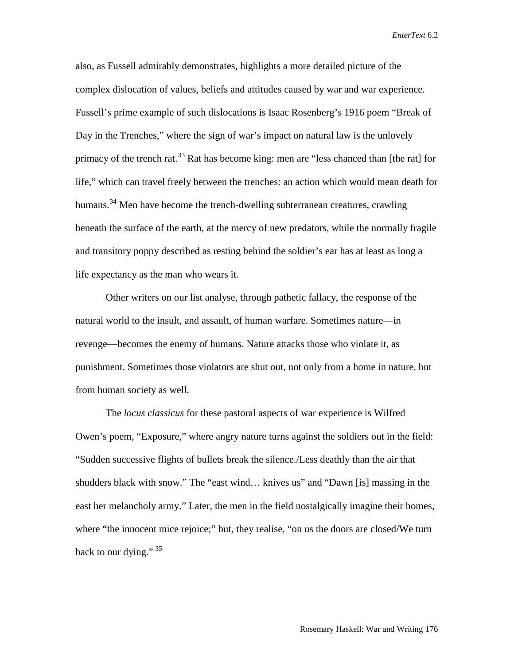also, as Fussell admirably demonstrates, highlights a more detailed picture of the complex dislocation of values, beliefs and attitudes caused by war and war experience. Fussell's prime example of such dislocations is Isaac Rosenberg's 1916 poem "Break of Day in the Trenches," where the sign of war's impact on natural law is the unlovely primacy of the trench rat.<sup>[33](#page-22-32)</sup> Rat has become king: men are "less chanced than [the rat] for life," which can travel freely between the trenches: an action which would mean death for humans.<sup>[34](#page-22-33)</sup> Men have become the trench-dwelling subterranean creatures, crawling beneath the surface of the earth, at the mercy of new predators, while the normally fragile and transitory poppy described as resting behind the soldier's ear has at least as long a life expectancy as the man who wears it.

Other writers on our list analyse, through pathetic fallacy, the response of the natural world to the insult, and assault, of human warfare. Sometimes nature—in revenge—becomes the enemy of humans. Nature attacks those who violate it, as punishment. Sometimes those violators are shut out, not only from a home in nature, but from human society as well.

The *locus classicus* for these pastoral aspects of war experience is Wilfred Owen's poem, "Exposure," where angry nature turns against the soldiers out in the field: "Sudden successive flights of bullets break the silence./Less deathly than the air that shudders black with snow." The "east wind… knives us" and "Dawn [is] massing in the east her melancholy army." Later, the men in the field nostalgically imagine their homes, where "the innocent mice rejoice;" but, they realise, "on us the doors are closed/We turn back to our dying."  $35$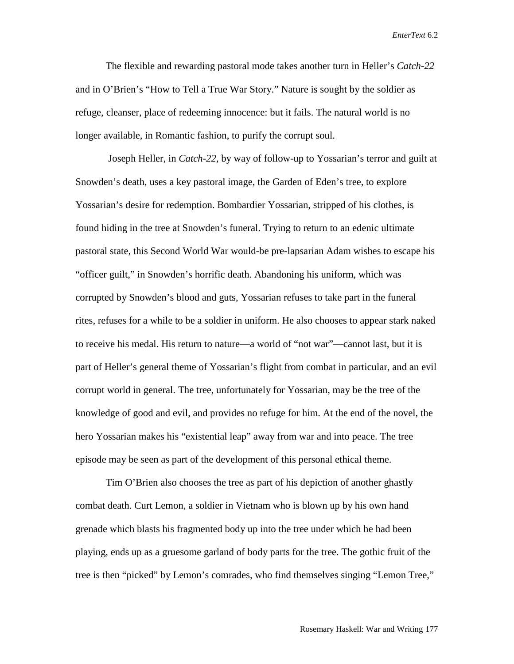The flexible and rewarding pastoral mode takes another turn in Heller's *Catch-22* and in O'Brien's "How to Tell a True War Story." Nature is sought by the soldier as refuge, cleanser, place of redeeming innocence: but it fails. The natural world is no longer available, in Romantic fashion, to purify the corrupt soul.

Joseph Heller, in *Catch-22*, by way of follow-up to Yossarian's terror and guilt at Snowden's death, uses a key pastoral image, the Garden of Eden's tree, to explore Yossarian's desire for redemption. Bombardier Yossarian, stripped of his clothes, is found hiding in the tree at Snowden's funeral. Trying to return to an edenic ultimate pastoral state, this Second World War would-be pre-lapsarian Adam wishes to escape his "officer guilt," in Snowden's horrific death. Abandoning his uniform, which was corrupted by Snowden's blood and guts, Yossarian refuses to take part in the funeral rites, refuses for a while to be a soldier in uniform. He also chooses to appear stark naked to receive his medal. His return to nature—a world of "not war"—cannot last, but it is part of Heller's general theme of Yossarian's flight from combat in particular, and an evil corrupt world in general. The tree, unfortunately for Yossarian, may be the tree of the knowledge of good and evil, and provides no refuge for him. At the end of the novel, the hero Yossarian makes his "existential leap" away from war and into peace. The tree episode may be seen as part of the development of this personal ethical theme.

Tim O'Brien also chooses the tree as part of his depiction of another ghastly combat death. Curt Lemon, a soldier in Vietnam who is blown up by his own hand grenade which blasts his fragmented body up into the tree under which he had been playing, ends up as a gruesome garland of body parts for the tree. The gothic fruit of the tree is then "picked" by Lemon's comrades, who find themselves singing "Lemon Tree,"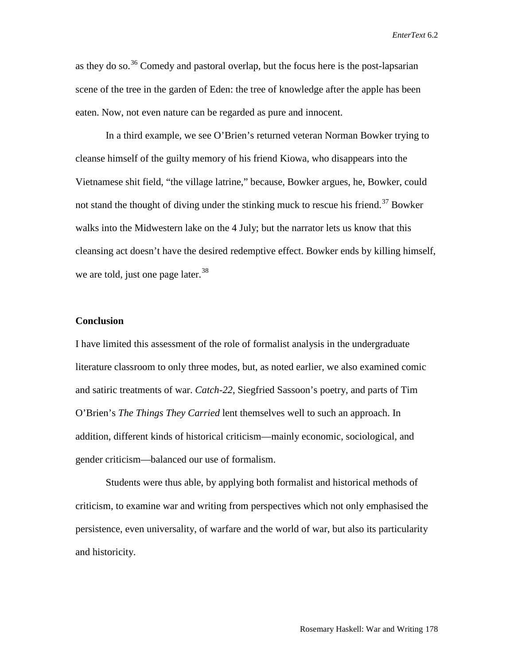as they do so.<sup>[36](#page-22-35)</sup> Comedy and pastoral overlap, but the focus here is the post-lapsarian scene of the tree in the garden of Eden: the tree of knowledge after the apple has been eaten. Now, not even nature can be regarded as pure and innocent.

In a third example, we see O'Brien's returned veteran Norman Bowker trying to cleanse himself of the guilty memory of his friend Kiowa, who disappears into the Vietnamese shit field, "the village latrine," because, Bowker argues, he, Bowker, could not stand the thought of diving under the stinking muck to rescue his friend.<sup>[37](#page-22-36)</sup> Bowker walks into the Midwestern lake on the 4 July; but the narrator lets us know that this cleansing act doesn't have the desired redemptive effect. Bowker ends by killing himself, we are told, just one page later.  $38$ 

## **Conclusion**

I have limited this assessment of the role of formalist analysis in the undergraduate literature classroom to only three modes, but, as noted earlier, we also examined comic and satiric treatments of war. *Catch-22*, Siegfried Sassoon's poetry, and parts of Tim O'Brien's *The Things They Carried* lent themselves well to such an approach. In addition, different kinds of historical criticism—mainly economic, sociological, and gender criticism—balanced our use of formalism.

Students were thus able, by applying both formalist and historical methods of criticism, to examine war and writing from perspectives which not only emphasised the persistence, even universality, of warfare and the world of war, but also its particularity and historicity.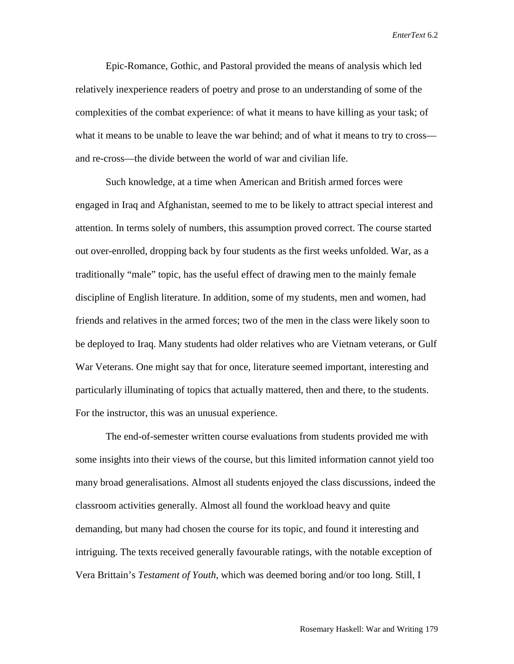Epic-Romance, Gothic, and Pastoral provided the means of analysis which led relatively inexperience readers of poetry and prose to an understanding of some of the complexities of the combat experience: of what it means to have killing as your task; of what it means to be unable to leave the war behind; and of what it means to try to cross and re-cross—the divide between the world of war and civilian life.

Such knowledge, at a time when American and British armed forces were engaged in Iraq and Afghanistan, seemed to me to be likely to attract special interest and attention. In terms solely of numbers, this assumption proved correct. The course started out over-enrolled, dropping back by four students as the first weeks unfolded. War, as a traditionally "male" topic, has the useful effect of drawing men to the mainly female discipline of English literature. In addition, some of my students, men and women, had friends and relatives in the armed forces; two of the men in the class were likely soon to be deployed to Iraq. Many students had older relatives who are Vietnam veterans, or Gulf War Veterans. One might say that for once, literature seemed important, interesting and particularly illuminating of topics that actually mattered, then and there, to the students. For the instructor, this was an unusual experience.

The end-of-semester written course evaluations from students provided me with some insights into their views of the course, but this limited information cannot yield too many broad generalisations. Almost all students enjoyed the class discussions, indeed the classroom activities generally. Almost all found the workload heavy and quite demanding, but many had chosen the course for its topic, and found it interesting and intriguing. The texts received generally favourable ratings, with the notable exception of Vera Brittain's *Testament of Youth*, which was deemed boring and/or too long. Still, I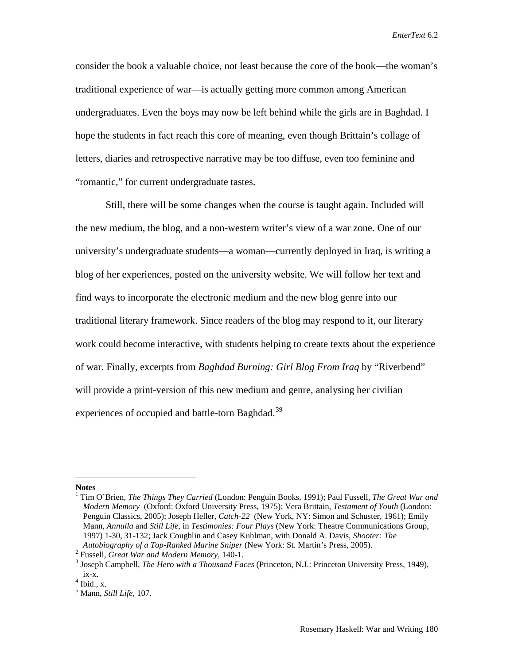consider the book a valuable choice, not least because the core of the book—the woman's traditional experience of war—is actually getting more common among American undergraduates. Even the boys may now be left behind while the girls are in Baghdad. I hope the students in fact reach this core of meaning, even though Brittain's collage of letters, diaries and retrospective narrative may be too diffuse, even too feminine and "romantic," for current undergraduate tastes.

Still, there will be some changes when the course is taught again. Included will the new medium, the blog, and a non-western writer's view of a war zone. One of our university's undergraduate students—a woman—currently deployed in Iraq, is writing a blog of her experiences, posted on the university website. We will follow her text and find ways to incorporate the electronic medium and the new blog genre into our traditional literary framework. Since readers of the blog may respond to it, our literary work could become interactive, with students helping to create texts about the experience of war. Finally, excerpts from *Baghdad Burning: Girl Blog From Iraq* by "Riverbend" will provide a print-version of this new medium and genre, analysing her civilian experiences of occupied and battle-torn Baghdad.<sup>[39](#page-22-38)</sup>

 $\overline{a}$ 

**Notes**

<sup>1</sup> Tim O'Brien, *The Things They Carried* (London: Penguin Books, 1991); Paul Fussell, *The Great War and Modern Memory* (Oxford: Oxford University Press, 1975); Vera Brittain, *Testament of Youth* (London: Penguin Classics, 2005); Joseph Heller, *Catch-22* (New York, NY: Simon and Schuster, 1961); Emily Mann, *Annulla* and *Still Life,* in *Testimonies: Four Plays* (New York: Theatre Communications Group, 1997) 1-30, 31-132; Jack Coughlin and Casey Kuhlman, with Donald A. Davis, *Shooter: The*  Autobiography of a Top-Ranked Marine Sniper (New York: St. Martin's Press, 2005).<br>
<sup>2</sup> Fussell, *Great War and Modern Memory*, 140-1.<br>
<sup>3</sup> Joseph Campbell, *The Hero with a Thousand Faces* (Princeton, N.J.: Princeton Unive

ix-x. <sup>4</sup> Ibid., x. <sup>5</sup> Mann, *Still Life*, 107.